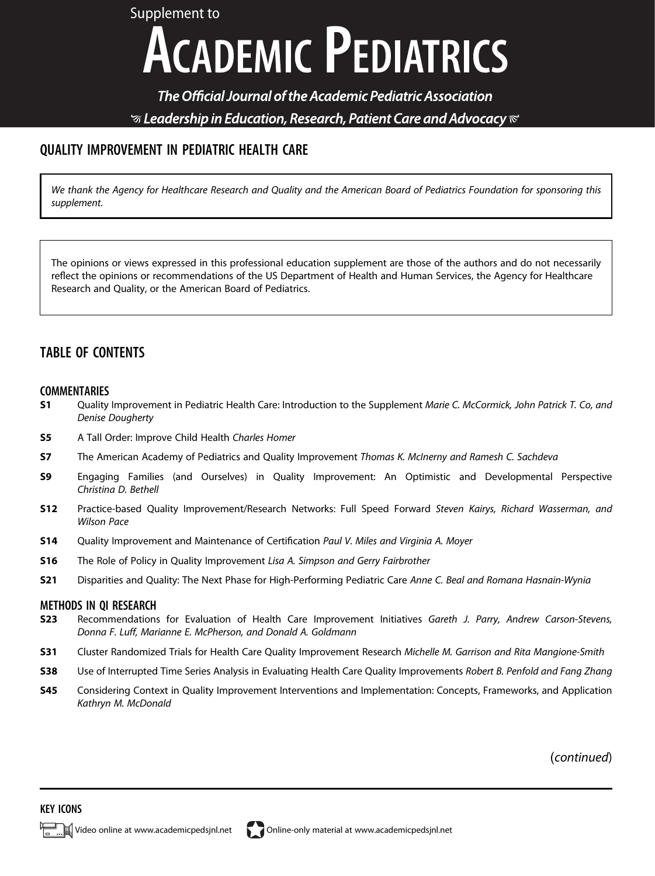Supplement to **ACADEMIC PEDIATRICS** 

The Official Journal of the Academic Pediatric Association  $\mathcal G$  Leadership in Education, Research, Patient Care and Advocacy  $\mathcal C$ 

# QUALITY IMPROVEMENT IN PEDIATRIC HEALTH CARE

We thank the Agency for Healthcare Research and Quality and the American Board of Pediatrics Foundation for sponsoring this supplement.

The opinions or views expressed in this professional education supplement are those of the authors and do not necessarily reflect the opinions or recommendations of the US Department of Health and Human Services, the Agency for Healthcare Research and Quality, or the American Board of Pediatrics.

## TABLE OF CONTENTS

#### COMMENTARIES

- S1 Quality Improvement in Pediatric Health Care: Introduction to the Supplement Marie C. McCormick, John Patrick T. Co, and Denise Dougherty
- **S5** A Tall Order: Improve Child Health Charles Homer
- S7 The American Academy of Pediatrics and Quality Improvement Thomas K. McInerny and Ramesh C. Sachdeva
- S9 Engaging Families (and Ourselves) in Quality Improvement: An Optimistic and Developmental Perspective Christina D. Bethell
- S12 Practice-based Quality Improvement/Research Networks: Full Speed Forward Steven Kairys, Richard Wasserman, and Wilson Pace
- S14 Quality Improvement and Maintenance of Certification Paul V. Miles and Virginia A. Moyer
- S16 The Role of Policy in Quality Improvement Lisa A. Simpson and Gerry Fairbrother
- S21 Disparities and Quality: The Next Phase for High-Performing Pediatric Care Anne C. Beal and Romana Hasnain-Wynia

#### METHODS IN QI RESEARCH

- S23 Recommendations for Evaluation of Health Care Improvement Initiatives Gareth J. Parry, Andrew Carson-Stevens, Donna F. Luff, Marianne E. McPherson, and Donald A. Goldmann
- S31 Cluster Randomized Trials for Health Care Quality Improvement Research Michelle M. Garrison and Rita Mangione-Smith
- S38 Use of Interrupted Time Series Analysis in Evaluating Health Care Quality Improvements Robert B. Penfold and Fang Zhang
- S45 Considering Context in Quality Improvement Interventions and Implementation: Concepts, Frameworks, and Application Kathryn M. McDonald

(continued)